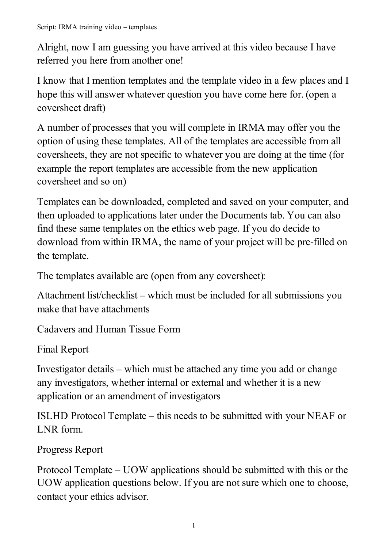Alright, now I am guessing you have arrived at this video because I have referred you here from another one!

I know that I mention templates and the template video in a few places and I hope this will answer whatever question you have come here for. (open a coversheet draft)

A number of processes that you will complete in IRMA may offer you the option of using these templates. All of the templates are accessible from all coversheets, they are not specific to whatever you are doing at the time (for example the report templates are accessible from the new application coversheet and so on)

Templates can be downloaded, completed and saved on your computer, and then uploaded to applications later under the Documents tab. You can also find these same templates on the ethics web page. If you do decide to download from within IRMA, the name of your project will be pre-filled on the template.

The templates available are (open from any coversheet):

Attachment list/checklist – which must be included for all submissions you make that have attachments

Cadavers and Human Tissue Form

Final Report

Investigator details – which must be attached any time you add or change any investigators, whether internal or external and whether it is a new application or an amendment of investigators

ISLHD Protocol Template – this needs to be submitted with your NEAF or LNR form.

Progress Report

Protocol Template – UOW applications should be submitted with this or the UOW application questions below. If you are not sure which one to choose, contact your ethics advisor.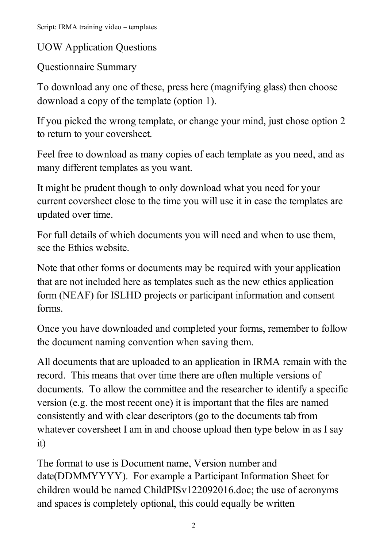UOW Application Questions

Questionnaire Summary

To download any one of these, press here (magnifying glass) then choose download a copy of the template (option 1).

If you picked the wrong template, or change your mind, just chose option 2 to return to your coversheet.

Feel free to download as many copies of each template as you need, and as many different templates as you want.

It might be prudent though to only download what you need for your current coversheet close to the time you will use it in case the templates are updated over time.

For full details of which documents you will need and when to use them, see the Ethics website.

Note that other forms or documents may be required with your application that are not included here as templates such as the new ethics application form (NEAF) for ISLHD projects or participant information and consent forms.

Once you have downloaded and completed your forms, remember to follow the document naming convention when saving them.

All documents that are uploaded to an application in IRMA remain with the record. This means that over time there are often multiple versions of documents. To allow the committee and the researcher to identify a specific version (e.g. the most recent one) it is important that the files are named consistently and with clear descriptors (go to the documents tab from whatever coversheet I am in and choose upload then type below in as I say it)

The format to use is Document name, Version number and date(DDMMYYYY). For example a Participant Information Sheet for children would be named ChildPISv122092016.doc; the use of acronyms and spaces is completely optional, this could equally be written